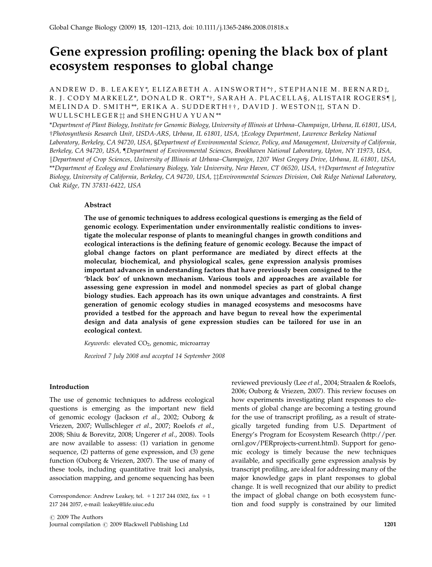# Gene expression profiling: opening the black box of plant ecosystem responses to global change

ANDREW D. B. LEAKEY\*, ELIZABETH A. AINSWORTH\*†, STEPHANIE M. BERNARD‡, R. J. CODY MARKELZ\*, DONALD R. ORT\*†, SARAH A. PLACELLAS, ALISTAIR ROGERS ||, MELINDA D. SMITH\*\*, ERIKA A. SUDDERTH $\dagger\dagger$ , DAVID J. WESTON $\ddagger\dagger$ , STAN D. WULLSCHLEGER## and SHENGHUA YUAN\*\*

\*Department of Plant Biology, Institute for Genomic Biology, University of Illinois at Urbana–Champaign, Urbana, IL 61801, USA, wPhotosynthesis Research Unit, USDA-ARS, Urbana, IL 61801, USA, <sup>z</sup>Ecology Department, Lawrence Berkeley National Laboratory, Berkeley, CA 94720, USA, §Department of Environmental Science, Policy, and Management, University of California, Berkeley, CA 94720, USA, *Separtment of Environmental Sciences, Brookhaven National Laboratory, Upton, NY 11973, USA*, kDepartment of Crop Sciences, University of Illinois at Urbana–Champaign, 1207 West Gregory Drive, Urbana, IL 61801, USA, \*\*Department of Ecology and Evolutionary Biology, Yale University, New Haven, CT 06520, USA, ††Department of Integrative Biology, University of California, Berkeley, CA 94720, USA, ##Environmental Sciences Division, Oak Ridge National Laboratory, Oak Ridge, TN 37831-6422, USA

#### Abstract

The use of genomic techniques to address ecological questions is emerging as the field of genomic ecology. Experimentation under environmentally realistic conditions to investigate the molecular response of plants to meaningful changes in growth conditions and ecological interactions is the defining feature of genomic ecology. Because the impact of global change factors on plant performance are mediated by direct effects at the molecular, biochemical, and physiological scales, gene expression analysis promises important advances in understanding factors that have previously been consigned to the 'black box' of unknown mechanism. Various tools and approaches are available for assessing gene expression in model and nonmodel species as part of global change biology studies. Each approach has its own unique advantages and constraints. A first generation of genomic ecology studies in managed ecosystems and mesocosms have provided a testbed for the approach and have begun to reveal how the experimental design and data analysis of gene expression studies can be tailored for use in an ecological context.

Keywords: elevated  $CO<sub>2</sub>$ , genomic, microarray

Received 7 July 2008 and accepted 14 September 2008

#### Introduction

The use of genomic techniques to address ecological questions is emerging as the important new field of genomic ecology (Jackson et al., 2002; Ouborg & Vriezen, 2007; Wullschleger et al., 2007; Roelofs et al., 2008; Shiu & Borevitz, 2008; Ungerer et al., 2008). Tools are now available to assess: (1) variation in genome sequence, (2) patterns of gene expression, and (3) gene function (Ouborg & Vriezen, 2007). The use of many of these tools, including quantitative trait loci analysis, association mapping, and genome sequencing has been

Correspondence: Andrew Leakey, tel.  $+1$  217 244 0302, fax  $+1$ 217 244 2057, e-mail: leakey@life.uiuc.edu

how experiments investigating plant responses to elements of global change are becoming a testing ground for the use of transcript profiling, as a result of strategically targeted funding from U.S. Department of Energy's Program for Ecosystem Research (http://per. ornl.gov/PERprojects-current.html). Support for genomic ecology is timely because the new techniques available, and specifically gene expression analysis by transcript profiling, are ideal for addressing many of the major knowledge gaps in plant responses to global change. It is well recognized that our ability to predict the impact of global change on both ecosystem function and food supply is constrained by our limited

reviewed previously (Lee et al., 2004; Straalen & Roelofs, 2006; Ouborg & Vriezen, 2007). This review focuses on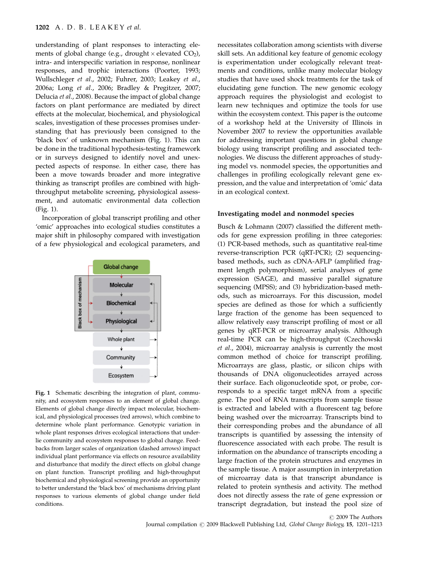understanding of plant responses to interacting elements of global change (e.g., drought  $\times$  elevated CO<sub>2</sub>), intra- and interspecific variation in response, nonlinear responses, and trophic interactions (Poorter, 1993; Wullschleger et al., 2002; Fuhrer, 2003; Leakey et al., 2006a; Long et al., 2006; Bradley & Pregitzer, 2007; Delucia et al., 2008). Because the impact of global change factors on plant performance are mediated by direct effects at the molecular, biochemical, and physiological scales, investigation of these processes promises understanding that has previously been consigned to the 'black box' of unknown mechanism (Fig. 1). This can be done in the traditional hypothesis-testing framework or in surveys designed to identify novel and unexpected aspects of response. In either case, there has been a move towards broader and more integrative thinking as transcript profiles are combined with highthroughput metabolite screening, physiological assessment, and automatic environmental data collection (Fig. 1).

Incorporation of global transcript profiling and other 'omic' approaches into ecological studies constitutes a major shift in philosophy compared with investigation of a few physiological and ecological parameters, and



Fig. 1 Schematic describing the integration of plant, community, and ecosystem responses to an element of global change. Elements of global change directly impact molecular, biochemical, and physiological processes (red arrows), which combine to determine whole plant performance. Genotypic variation in whole plant responses drives ecological interactions that underlie community and ecosystem responses to global change. Feedbacks from larger scales of organization (dashed arrows) impact individual plant performance via effects on resource availability and disturbance that modify the direct effects on global change on plant function. Transcript profiling and high-throughput biochemical and physiological screening provide an opportunity to better understand the 'black box' of mechanisms driving plant responses to various elements of global change under field conditions.

necessitates collaboration among scientists with diverse skill sets. An additional key feature of genomic ecology is experimentation under ecologically relevant treatments and conditions, unlike many molecular biology studies that have used shock treatments for the task of elucidating gene function. The new genomic ecology approach requires the physiologist and ecologist to learn new techniques and optimize the tools for use within the ecosystem context. This paper is the outcome of a workshop held at the University of Illinois in November 2007 to review the opportunities available for addressing important questions in global change biology using transcript profiling and associated technologies. We discuss the different approaches of studying model vs. nonmodel species, the opportunities and challenges in profiling ecologically relevant gene expression, and the value and interpretation of 'omic' data in an ecological context.

#### Investigating model and nonmodel species

Busch & Lohmann (2007) classified the different methods for gene expression profiling in three categories: (1) PCR-based methods, such as quantitative real-time reverse-transcription PCR (qRT-PCR); (2) sequencingbased methods, such as cDNA-AFLP (amplified fragment length polymorphism), serial analyses of gene expression (SAGE), and massive parallel signature sequencing (MPSS); and (3) hybridization-based methods, such as microarrays. For this discussion, model species are defined as those for which a sufficiently large fraction of the genome has been sequenced to allow relatively easy transcript profiling of most or all genes by qRT-PCR or microarray analysis. Although real-time PCR can be high-throughput (Czechowski et al., 2004), microarray analysis is currently the most common method of choice for transcript profiling. Microarrays are glass, plastic, or silicon chips with thousands of DNA oligonucleotides arrayed across their surface. Each oligonucleotide spot, or probe, corresponds to a specific target mRNA from a specific gene. The pool of RNA transcripts from sample tissue is extracted and labeled with a fluorescent tag before being washed over the microarray. Transcripts bind to their corresponding probes and the abundance of all transcripts is quantified by assessing the intensity of fluorescence associated with each probe. The result is information on the abundance of transcripts encoding a large fraction of the protein structures and enzymes in the sample tissue. A major assumption in interpretation of microarray data is that transcript abundance is related to protein synthesis and activity. The method does not directly assess the rate of gene expression or transcript degradation, but instead the pool size of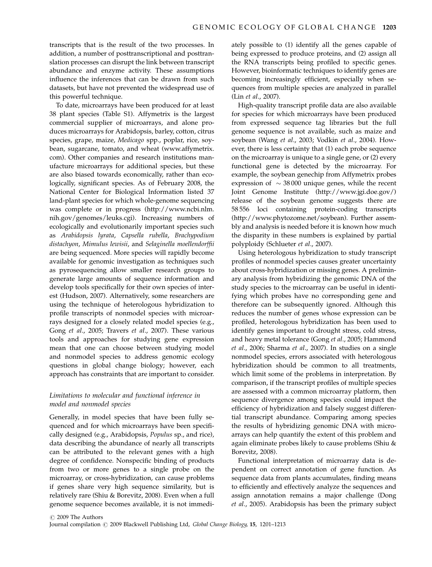transcripts that is the result of the two processes. In addition, a number of posttranscriptional and posttranslation processes can disrupt the link between transcript abundance and enzyme activity. These assumptions influence the inferences that can be drawn from such datasets, but have not prevented the widespread use of this powerful technique.

To date, microarrays have been produced for at least 38 plant species (Table S1). Affymetrix is the largest commercial supplier of microarrays, and alone produces microarrays for Arabidopsis, barley, cotton, citrus species, grape, maize, Medicago spp., poplar, rice, soybean, sugarcane, tomato, and wheat (www.affymetrix. com). Other companies and research institutions manufacture microarrays for additional species, but these are also biased towards economically, rather than ecologically, significant species. As of February 2008, the National Center for Biological Information listed 37 land-plant species for which whole-genome sequencing was complete or in progress (http://www.ncbi.nlm. nih.gov/genomes/leuks.cgi). Increasing numbers of ecologically and evolutionarily important species such as Arabidopsis lyrata, Capsella rubella, Brachypodium distachyon, Mimulus lewisii, and Selaginella moellendorffii are being sequenced. More species will rapidly become available for genomic investigation as techniques such as pyrosequencing allow smaller research groups to generate large amounts of sequence information and develop tools specifically for their own species of interest (Hudson, 2007). Alternatively, some researchers are using the technique of heterologous hybridization to profile transcripts of nonmodel species with microarrays designed for a closely related model species (e.g., Gong et al., 2005; Travers et al., 2007). These various tools and approaches for studying gene expression mean that one can choose between studying model and nonmodel species to address genomic ecology questions in global change biology; however, each approach has constraints that are important to consider.

# Limitations to molecular and functional inference in model and nonmodel species

Generally, in model species that have been fully sequenced and for which microarrays have been specifically designed (e.g., Arabidopsis, Populus sp., and rice), data describing the abundance of nearly all transcripts can be attributed to the relevant genes with a high degree of confidence. Nonspecific binding of products from two or more genes to a single probe on the microarray, or cross-hybridization, can cause problems if genes share very high sequence similarity, but is relatively rare (Shiu & Borevitz, 2008). Even when a full genome sequence becomes available, it is not immediately possible to (1) identify all the genes capable of being expressed to produce proteins, and (2) assign all the RNA transcripts being profiled to specific genes. However, bioinformatic techniques to identify genes are becoming increasingly efficient, especially when sequences from multiple species are analyzed in parallel (Lin et al., 2007).

High-quality transcript profile data are also available for species for which microarrays have been produced from expressed sequence tag libraries but the full genome sequence is not available, such as maize and soybean (Wang et al., 2003; Vodkin et al., 2004). However, there is less certainty that (1) each probe sequence on the microarray is unique to a single gene, or (2) every functional gene is detected by the microarray. For example, the soybean genechip from Affymetrix probes expression of  $\sim$  38 000 unique genes, while the recent Joint Genome Institute (http://www.jgi.doe.gov/) release of the soybean genome suggests there are 58 556 loci containing protein-coding transcripts (http://www.phytozome.net/soybean). Further assembly and analysis is needed before it is known how much the disparity in these numbers is explained by partial polyploidy (Schlueter et al., 2007).

Using heterologous hybridization to study transcript profiles of nonmodel species causes greater uncertainty about cross-hybridization or missing genes. A preliminary analysis from hybridizing the genomic DNA of the study species to the microarray can be useful in identifying which probes have no corresponding gene and therefore can be subsequently ignored. Although this reduces the number of genes whose expression can be profiled, heterologous hybridization has been used to identify genes important to drought stress, cold stress, and heavy metal tolerance (Gong et al., 2005; Hammond et al., 2006; Sharma et al., 2007). In studies on a single nonmodel species, errors associated with heterologous hybridization should be common to all treatments, which limit some of the problems in interpretation. By comparison, if the transcript profiles of multiple species are assessed with a common microarray platform, then sequence divergence among species could impact the efficiency of hybridization and falsely suggest differential transcript abundance. Comparing among species the results of hybridizing genomic DNA with microarrays can help quantify the extent of this problem and again eliminate probes likely to cause problems (Shiu & Borevitz, 2008).

Functional interpretation of microarray data is dependent on correct annotation of gene function. As sequence data from plants accumulates, finding means to efficiently and effectively analyze the sequences and assign annotation remains a major challenge (Dong et al., 2005). Arabidopsis has been the primary subject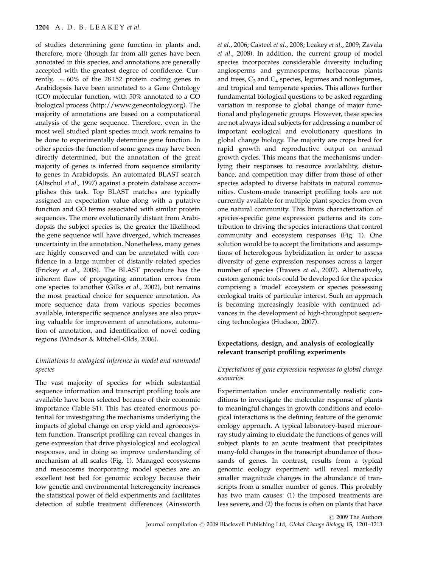of studies determining gene function in plants and, therefore, more (though far from all) genes have been annotated in this species, and annotations are generally accepted with the greatest degree of confidence. Currently,  $\sim 60\%$  of the 28 152 protein coding genes in Arabidopsis have been annotated to a Gene Ontology (GO) molecular function, with 50% annotated to a GO biological process (http://www.geneontology.org). The majority of annotations are based on a computational analysis of the gene sequence. Therefore, even in the most well studied plant species much work remains to be done to experimentally determine gene function. In other species the function of some genes may have been directly determined, but the annotation of the great majority of genes is inferred from sequence similarity to genes in Arabidopsis. An automated BLAST search (Altschul et al., 1997) against a protein database accomplishes this task. Top BLAST matches are typically assigned an expectation value along with a putative function and GO terms associated with similar protein sequences. The more evolutionarily distant from Arabidopsis the subject species is, the greater the likelihood the gene sequence will have diverged, which increases uncertainty in the annotation. Nonetheless, many genes are highly conserved and can be annotated with confidence in a large number of distantly related species (Frickey et al., 2008). The BLAST procedure has the inherent flaw of propagating annotation errors from one species to another (Gilks et al., 2002), but remains the most practical choice for sequence annotation. As more sequence data from various species becomes available, interspecific sequence analyses are also proving valuable for improvement of annotations, automation of annotation, and identification of novel coding regions (Windsor & Mitchell-Olds, 2006).

# Limitations to ecological inference in model and nonmodel species

The vast majority of species for which substantial sequence information and transcript profiling tools are available have been selected because of their economic importance (Table S1). This has created enormous potential for investigating the mechanisms underlying the impacts of global change on crop yield and agroecosystem function. Transcript profiling can reveal changes in gene expression that drive physiological and ecological responses, and in doing so improve understanding of mechanism at all scales (Fig. 1). Managed ecosystems and mesocosms incorporating model species are an excellent test bed for genomic ecology because their low genetic and environmental heterogeneity increases the statistical power of field experiments and facilitates detection of subtle treatment differences (Ainsworth et al., 2006; Casteel et al., 2008; Leakey et al., 2009; Zavala et al., 2008). In addition, the current group of model species incorporates considerable diversity including angiosperms and gymnosperms, herbaceous plants and trees,  $C_3$  and  $C_4$  species, legumes and nonlegumes, and tropical and temperate species. This allows further fundamental biological questions to be asked regarding variation in response to global change of major functional and phylogenetic groups. However, these species are not always ideal subjects for addressing a number of important ecological and evolutionary questions in global change biology. The majority are crops bred for rapid growth and reproductive output on annual growth cycles. This means that the mechanisms underlying their responses to resource availability, disturbance, and competition may differ from those of other species adapted to diverse habitats in natural communities. Custom-made transcript profiling tools are not currently available for multiple plant species from even one natural community. This limits characterization of species-specific gene expression patterns and its contribution to driving the species interactions that control community and ecosystem responses (Fig. 1). One solution would be to accept the limitations and assumptions of heterologous hybridization in order to assess diversity of gene expression responses across a larger number of species (Travers et al., 2007). Alternatively, custom genomic tools could be developed for the species comprising a 'model' ecosystem or species possessing ecological traits of particular interest. Such an approach is becoming increasingly feasible with continued advances in the development of high-throughput sequencing technologies (Hudson, 2007).

# Expectations, design, and analysis of ecologically relevant transcript profiling experiments

# Expectations of gene expression responses to global change scenarios

Experimentation under environmentally realistic conditions to investigate the molecular response of plants to meaningful changes in growth conditions and ecological interactions is the defining feature of the genomic ecology approach. A typical laboratory-based microarray study aiming to elucidate the functions of genes will subject plants to an acute treatment that precipitates many-fold changes in the transcript abundance of thousands of genes. In contrast, results from a typical genomic ecology experiment will reveal markedly smaller magnitude changes in the abundance of transcripts from a smaller number of genes. This probably has two main causes: (1) the imposed treatments are less severe, and (2) the focus is often on plants that have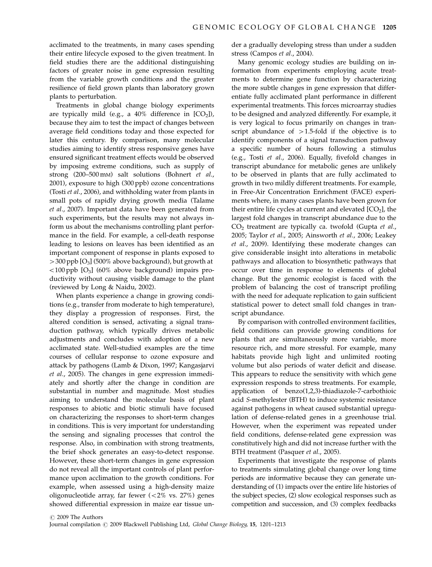acclimated to the treatments, in many cases spending their entire lifecycle exposed to the given treatment. In field studies there are the additional distinguishing factors of greater noise in gene expression resulting from the variable growth conditions and the greater resilience of field grown plants than laboratory grown plants to perturbation.

Treatments in global change biology experiments are typically mild (e.g., a  $40\%$  difference in  $[CO_2]$ ), because they aim to test the impact of changes between average field conditions today and those expected for later this century. By comparison, many molecular studies aiming to identify stress responsive genes have ensured significant treatment effects would be observed by imposing extreme conditions, such as supply of strong (200–500 mM) salt solutions (Bohnert et al., 2001), exposure to high (300 ppb) ozone concentrations (Tosti et al., 2006), and withholding water from plants in small pots of rapidly drying growth media (Talame et al., 2007). Important data have been generated from such experiments, but the results may not always inform us about the mechanisms controlling plant performance in the field. For example, a cell-death response leading to lesions on leaves has been identified as an important component of response in plants exposed to  $>$  300 ppb [O<sub>3</sub>] (500% above background), but growth at  $100$  ppb  $[O_3]$  (60% above background) impairs productivity without causing visible damage to the plant (reviewed by Long & Naidu, 2002).

When plants experience a change in growing conditions (e.g., transfer from moderate to high temperature), they display a progression of responses. First, the altered condition is sensed, activating a signal transduction pathway, which typically drives metabolic adjustments and concludes with adoption of a new acclimated state. Well-studied examples are the time courses of cellular response to ozone exposure and attack by pathogens (Lamb & Dixon, 1997; Kangasjarvi et al., 2005). The changes in gene expression immediately and shortly after the change in condition are substantial in number and magnitude. Most studies aiming to understand the molecular basis of plant responses to abiotic and biotic stimuli have focused on characterizing the responses to short-term changes in conditions. This is very important for understanding the sensing and signaling processes that control the response. Also, in combination with strong treatments, the brief shock generates an easy-to-detect response. However, these short-term changes in gene expression do not reveal all the important controls of plant performance upon acclimation to the growth conditions. For example, when assessed using a high-density maize oligonucleotide array, far fewer  $\left( < 2\% \text{ vs. } 27\% \right)$  genes showed differential expression in maize ear tissue under a gradually developing stress than under a sudden stress (Campos et al., 2004).

Many genomic ecology studies are building on information from experiments employing acute treatments to determine gene function by characterizing the more subtle changes in gene expression that differentiate fully acclimated plant performance in different experimental treatments. This forces microarray studies to be designed and analyzed differently. For example, it is very logical to focus primarily on changes in transcript abundance of  $>1.5$ -fold if the objective is to identify components of a signal transduction pathway a specific number of hours following a stimulus (e.g., Tosti et al., 2006). Equally, fivefold changes in transcript abundance for metabolic genes are unlikely to be observed in plants that are fully acclimated to growth in two mildly different treatments. For example, in Free-Air Concentration Enrichment (FACE) experiments where, in many cases plants have been grown for their entire life cycles at current and elevated  $[CO<sub>2</sub>]$ , the largest fold changes in transcript abundance due to the  $CO<sub>2</sub>$  treatment are typically ca. twofold (Gupta et al., 2005; Taylor et al., 2005; Ainsworth et al., 2006; Leakey et al., 2009). Identifying these moderate changes can give considerable insight into alterations in metabolic pathways and allocation to biosynthetic pathways that occur over time in response to elements of global change. But the genomic ecologist is faced with the problem of balancing the cost of transcript profiling with the need for adequate replication to gain sufficient statistical power to detect small fold changes in transcript abundance.

By comparison with controlled environment facilities, field conditions can provide growing conditions for plants that are simultaneously more variable, more resource rich, and more stressful. For example, many habitats provide high light and unlimited rooting volume but also periods of water deficit and disease. This appears to reduce the sensitivity with which gene expression responds to stress treatments. For example, application of benzo(1,2,3)-thiadiazole-7-carbothioic acid S-methylester (BTH) to induce systemic resistance against pathogens in wheat caused substantial upregulation of defense-related genes in a greenhouse trial. However, when the experiment was repeated under field conditions, defense-related gene expression was constitutively high and did not increase further with the BTH treatment (Pasquer et al., 2005).

Experiments that investigate the response of plants to treatments simulating global change over long time periods are informative because they can generate understanding of (1) impacts over the entire life histories of the subject species, (2) slow ecological responses such as competition and succession, and (3) complex feedbacks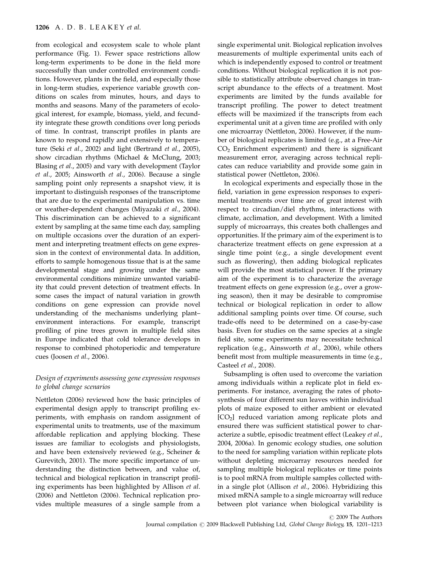from ecological and ecosystem scale to whole plant performance (Fig. 1). Fewer space restrictions allow long-term experiments to be done in the field more successfully than under controlled environment conditions. However, plants in the field, and especially those in long-term studies, experience variable growth conditions on scales from minutes, hours, and days to months and seasons. Many of the parameters of ecological interest, for example, biomass, yield, and fecundity integrate these growth conditions over long periods of time. In contrast, transcript profiles in plants are known to respond rapidly and extensively to temperature (Seki et al., 2002) and light (Bertrand et al., 2005), show circadian rhythms (Michael & McClung, 2003; Blasing et al., 2005) and vary with development (Taylor et al., 2005; Ainsworth et al., 2006). Because a single sampling point only represents a snapshot view, it is important to distinguish responses of the transcriptome that are due to the experimental manipulation vs. time or weather-dependent changes (Miyazaki et al., 2004). This discrimination can be achieved to a significant extent by sampling at the same time each day, sampling on multiple occasions over the duration of an experiment and interpreting treatment effects on gene expression in the context of environmental data. In addition, efforts to sample homogenous tissue that is at the same developmental stage and growing under the same environmental conditions minimize unwanted variability that could prevent detection of treatment effects. In some cases the impact of natural variation in growth conditions on gene expression can provide novel understanding of the mechanisms underlying plant– environment interactions. For example, transcript profiling of pine trees grown in multiple field sites in Europe indicated that cold tolerance develops in response to combined photoperiodic and temperature cues (Joosen et al., 2006).

# Design of experiments assessing gene expression responses to global change scenarios

Nettleton (2006) reviewed how the basic principles of experimental design apply to transcript profiling experiments, with emphasis on random assignment of experimental units to treatments, use of the maximum affordable replication and applying blocking. These issues are familiar to ecologists and physiologists, and have been extensively reviewed (e.g., Scheiner & Gurevitch, 2001). The more specific importance of understanding the distinction between, and value of, technical and biological replication in transcript profiling experiments has been highlighted by Allison et al. (2006) and Nettleton (2006). Technical replication provides multiple measures of a single sample from a

single experimental unit. Biological replication involves measurements of multiple experimental units each of which is independently exposed to control or treatment conditions. Without biological replication it is not possible to statistically attribute observed changes in transcript abundance to the effects of a treatment. Most experiments are limited by the funds available for transcript profiling. The power to detect treatment effects will be maximized if the transcripts from each experimental unit at a given time are profiled with only one microarray (Nettleton, 2006). However, if the number of biological replicates is limited (e.g., at a Free-Air  $CO<sub>2</sub>$  Enrichment experiment) and there is significant measurement error, averaging across technical replicates can reduce variability and provide some gain in statistical power (Nettleton, 2006).

In ecological experiments and especially those in the field, variation in gene expression responses to experimental treatments over time are of great interest with respect to circadian/diel rhythms, interactions with climate, acclimation, and development. With a limited supply of microarrays, this creates both challenges and opportunities. If the primary aim of the experiment is to characterize treatment effects on gene expression at a single time point (e.g., a single development event such as flowering), then adding biological replicates will provide the most statistical power. If the primary aim of the experiment is to characterize the average treatment effects on gene expression (e.g., over a growing season), then it may be desirable to compromise technical or biological replication in order to allow additional sampling points over time. Of course, such trade-offs need to be determined on a case-by-case basis. Even for studies on the same species at a single field site, some experiments may necessitate technical replication (e.g., Ainsworth et al., 2006), while others benefit most from multiple measurements in time (e.g., Casteel et al., 2008).

Subsampling is often used to overcome the variation among individuals within a replicate plot in field experiments. For instance, averaging the rates of photosynthesis of four different sun leaves within individual plots of maize exposed to either ambient or elevated [CO<sub>2</sub>] reduced variation among replicate plots and ensured there was sufficient statistical power to characterize a subtle, episodic treatment effect (Leakey et al., 2004, 2006a). In genomic ecology studies, one solution to the need for sampling variation within replicate plots without depleting microarray resources needed for sampling multiple biological replicates or time points is to pool mRNA from multiple samples collected within a single plot (Allison et al., 2006). Hybridizing this mixed mRNA sample to a single microarray will reduce between plot variance when biological variability is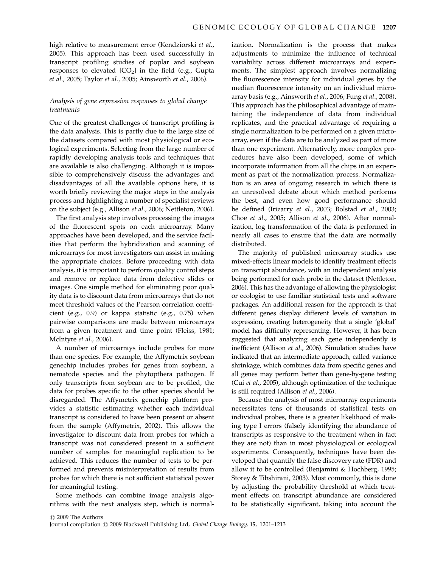high relative to measurement error (Kendziorski et al., 2005). This approach has been used successfully in transcript profiling studies of poplar and soybean responses to elevated  $[CO<sub>2</sub>]$  in the field (e.g., Gupta et al., 2005; Taylor et al., 2005; Ainsworth et al., 2006).

# Analysis of gene expression responses to global change treatments

One of the greatest challenges of transcript profiling is the data analysis. This is partly due to the large size of the datasets compared with most physiological or ecological experiments. Selecting from the large number of rapidly developing analysis tools and techniques that are available is also challenging. Although it is impossible to comprehensively discuss the advantages and disadvantages of all the available options here, it is worth briefly reviewing the major steps in the analysis process and highlighting a number of specialist reviews on the subject (e.g., Allison et al., 2006; Nettleton, 2006).

The first analysis step involves processing the images of the fluorescent spots on each microarray. Many approaches have been developed, and the service facilities that perform the hybridization and scanning of microarrays for most investigators can assist in making the appropriate choices. Before proceeding with data analysis, it is important to perform quality control steps and remove or replace data from defective slides or images. One simple method for eliminating poor quality data is to discount data from microarrays that do not meet threshold values of the Pearson correlation coefficient (e.g., 0.9) or kappa statistic (e.g., 0.75) when pairwise comparisons are made between microarrays from a given treatment and time point (Fleiss, 1981; McIntyre et al., 2006).

A number of microarrays include probes for more than one species. For example, the Affymetrix soybean genechip includes probes for genes from soybean, a nematode species and the phytopthera pathogen. If only transcripts from soybean are to be profiled, the data for probes specific to the other species should be disregarded. The Affymetrix genechip platform provides a statistic estimating whether each individual transcript is considered to have been present or absent from the sample (Affymetrix, 2002). This allows the investigator to discount data from probes for which a transcript was not considered present in a sufficient number of samples for meaningful replication to be achieved. This reduces the number of tests to be performed and prevents misinterpretation of results from probes for which there is not sufficient statistical power for meaningful testing.

Some methods can combine image analysis algorithms with the next analysis step, which is normalization. Normalization is the process that makes adjustments to minimize the influence of technical variability across different microarrays and experiments. The simplest approach involves normalizing the fluorescence intensity for individual genes by the median fluorescence intensity on an individual microarray basis (e.g., Ainsworth et al., 2006; Fung et al., 2008). This approach has the philosophical advantage of maintaining the independence of data from individual replicates, and the practical advantage of requiring a single normalization to be performed on a given microarray, even if the data are to be analyzed as part of more than one experiment. Alternatively, more complex procedures have also been developed, some of which incorporate information from all the chips in an experiment as part of the normalization process. Normalization is an area of ongoing research in which there is an unresolved debate about which method performs the best, and even how good performance should be defined (Irizarry et al., 2003; Bolstad et al., 2003; Choe et al., 2005; Allison et al., 2006). After normalization, log transformation of the data is performed in nearly all cases to ensure that the data are normally distributed.

The majority of published microarray studies use mixed-effects linear models to identify treatment effects on transcript abundance, with an independent analysis being performed for each probe in the dataset (Nettleton, 2006). This has the advantage of allowing the physiologist or ecologist to use familiar statistical tests and software packages. An additional reason for the approach is that different genes display different levels of variation in expression, creating heterogeneity that a single 'global' model has difficulty representing. However, it has been suggested that analyzing each gene independently is inefficient (Allison et al., 2006). Simulation studies have indicated that an intermediate approach, called variance shrinkage, which combines data from specific genes and all genes may perform better than gene-by-gene testing (Cui et al., 2005), although optimization of the technique is still required (Allison et al., 2006).

Because the analysis of most microarray experiments necessitates tens of thousands of statistical tests on individual probes, there is a greater likelihood of making type I errors (falsely identifying the abundance of transcripts as responsive to the treatment when in fact they are not) than in most physiological or ecological experiments. Consequently, techniques have been developed that quantify the false discovery rate (FDR) and allow it to be controlled (Benjamini & Hochberg, 1995; Storey & Tibshirani, 2003). Most commonly, this is done by adjusting the probability threshold at which treatment effects on transcript abundance are considered to be statistically significant, taking into account the

#### $\odot$  2009 The Authors

Journal compilation  $\odot$  2009 Blackwell Publishing Ltd, Global Change Biology, 15, 1201–1213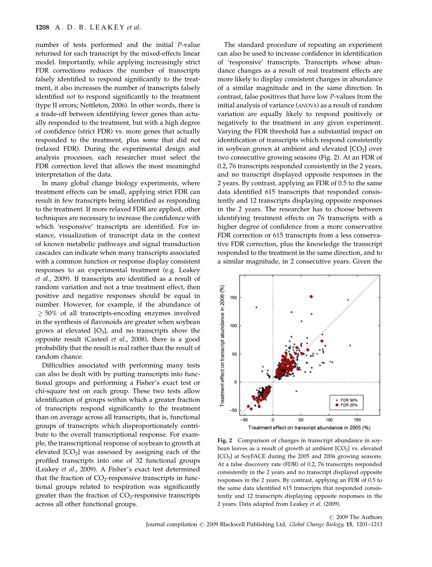number of tests performed and the initial P-value returned for each transcript by the mixed-effects linear model. Importantly, while applying increasingly strict FDR corrections reduces the number of transcripts falsely identified to respond significantly to the treatment, it also increases the number of transcripts falsely identified not to respond significantly to the treatment (type II errors; Nettleton, 2006). In other words, there is a trade-off between identifying fewer genes than actually responded to the treatment, but with a high degree of confidence (strict FDR) vs. more genes that actually responded to the treatment, plus some that did not (relaxed FDR). During the experimental design and analysis processes, each researcher must select the FDR correction level that allows the most meaningful interpretation of the data.

In many global change biology experiments, where treatment effects can be small, applying strict FDR can result in few transcripts being identified as responding to the treatment. If more relaxed FDR are applied, other techniques are necessary to increase the confidence with which 'responsive' transcripts are identified. For instance, visualization of transcript data in the context of known metabolic pathways and signal transduction cascades can indicate when many transcripts associated with a common function or response display consistent responses to an experimental treatment (e.g. Leakey et al., 2009). If transcripts are identified as a result of random variation and not a true treatment effect, then positive and negative responses should be equal in number. However, for example, if the abundance of 50% of all transcripts-encoding enzymes involved in the synthesis of flavonoids are greater when soybean grows at elevated  $[O_3]$ , and no transcripts show the opposite result (Casteel et al., 2008), there is a good probability that the result is real rather than the result of random chance.

Difficulties associated with performing many tests can also be dealt with by putting transcripts into functional groups and performing a Fisher's exact test or chi-square test on each group. These two tests allow identification of groups within which a greater fraction of transcripts respond significantly to the treatment than on average across all transcripts, that is, functional groups of transcripts which disproportionately contribute to the overall transcriptional response. For example, the transcriptional response of soybean to growth at elevated  $[CO<sub>2</sub>]$  was assessed by assigning each of the profiled transcripts into one of 32 functional groups (Leakey et al., 2009). A Fisher's exact test determined that the fraction of  $CO<sub>2</sub>$ -responsive transcripts in functional groups related to respiration was significantly greater than the fraction of  $CO<sub>2</sub>$ -responsive transcripts across all other functional groups.

The standard procedure of repeating an experiment can also be used to increase confidence in identification of 'responsive' transcripts. Transcripts whose abundance changes as a result of real treatment effects are more likely to display consistent changes in abundance of a similar magnitude and in the same direction. In contrast, false positives that have low P-values from the initial analysis of variance (ANOVA) as a result of random variation are equally likely to respond positively or negatively to the treatment in any given experiment. Varying the FDR threshold has a substantial impact on identification of transcripts which respond consistently in soybean grown at ambient and elevated  $[CO<sub>2</sub>]$  over two consecutive growing seasons (Fig. 2). At an FDR of 0.2, 76 transcripts responded consistently in the 2 years, and no transcript displayed opposite responses in the 2 years. By contrast, applying an FDR of 0.5 to the same data identified 615 transcripts that responded consistently and 12 transcripts displaying opposite responses in the 2 years. The researcher has to choose between identifying treatment effects on 76 transcripts with a higher degree of confidence from a more conservative FDR correction or 615 transcripts from a less conservative FDR correction, plus the knowledge the transcript responded to the treatment in the same direction, and to a similar magnitude, in 2 consecutive years. Given the



Fig. 2 Comparison of changes in transcript abundance in soybean leaves as a result of growth at ambient  $[CO<sub>2</sub>]$  vs. elevated [CO2] at SoyFACE during the 2005 and 2006 growing seasons. At a false discovery rate (FDR) of 0.2, 76 transcripts responded consistently in the 2 years and no transcript displayed opposite responses in the 2 years. By contrast, applying an FDR of 0.5 to the same data identified 615 transcripts that responded consistently and 12 transcripts displaying opposite responses in the 2 years. Data adapted from Leakey et al. (2009).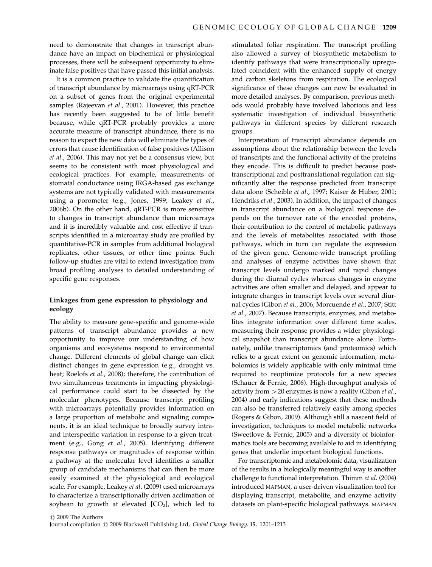need to demonstrate that changes in transcript abundance have an impact on biochemical or physiological processes, there will be subsequent opportunity to eliminate false positives that have passed this initial analysis.

It is a common practice to validate the quantification of transcript abundance by microarrays using qRT-PCR on a subset of genes from the original experimental samples (Rajeevan et al., 2001). However, this practice has recently been suggested to be of little benefit because, while qRT-PCR probably provides a more accurate measure of transcript abundance, there is no reason to expect the new data will eliminate the types of errors that cause identification of false positives (Allison et al., 2006). This may not yet be a consensus view, but seems to be consistent with most physiological and ecological practices. For example, measurements of stomatal conductance using IRGA-based gas exchange systems are not typically validated with measurements using a porometer (e.g., Jones, 1999; Leakey et al., 2006b). On the other hand, qRT-PCR is more sensitive to changes in transcript abundance than microarrays and it is incredibly valuable and cost effective if transcripts identified in a microarray study are profiled by quantitative-PCR in samples from additional biological replicates, other tissues, or other time points. Such follow-up studies are vital to extend investigation from broad profiling analyses to detailed understanding of specific gene responses.

# Linkages from gene expression to physiology and ecology

The ability to measure gene-specific and genome-wide patterns of transcript abundance provides a new opportunity to improve our understanding of how organisms and ecosystems respond to environmental change. Different elements of global change can elicit distinct changes in gene expression (e.g., drought vs. heat; Roelofs et al., 2008); therefore, the contribution of two simultaneous treatments in impacting physiological performance could start to be dissected by the molecular phenotypes. Because transcript profiling with microarrays potentially provides information on a large proportion of metabolic and signaling components, it is an ideal technique to broadly survey intraand interspecific variation in response to a given treatment (e.g., Gong et al., 2005). Identifying different response pathways or magnitudes of response within a pathway at the molecular level identifies a smaller group of candidate mechanisms that can then be more easily examined at the physiological and ecological scale. For example, Leakey et al. (2009) used microarrays to characterize a transcriptionally driven acclimation of soybean to growth at elevated  $[CO<sub>2</sub>]$ , which led to

stimulated foliar respiration. The transcript profiling also allowed a survey of biosynthetic metabolism to identify pathways that were transcriptionally upregulated coincident with the enhanced supply of energy and carbon skeletons from respiration. The ecological significance of these changes can now be evaluated in more detailed analyses. By comparison, previous methods would probably have involved laborious and less systematic investigation of individual biosynthetic pathways in different species by different research groups.

Interpretation of transcript abundance depends on assumptions about the relationship between the levels of transcripts and the functional activity of the proteins they encode. This is difficult to predict because posttranscriptional and posttranslational regulation can significantly alter the response predicted from transcript data alone (Scheible et al., 1997; Kaiser & Huber, 2001; Hendriks et al., 2003). In addition, the impact of changes in transcript abundance on a biological response depends on the turnover rate of the encoded proteins, their contribution to the control of metabolic pathways and the levels of metabolites associated with those pathways, which in turn can regulate the expression of the given gene. Genome-wide transcript profiling and analyses of enzyme activities have shown that transcript levels undergo marked and rapid changes during the diurnal cycles whereas changes in enzyme activities are often smaller and delayed, and appear to integrate changes in transcript levels over several diurnal cycles (Gibon et al., 2006; Morcuende et al., 2007; Stitt et al., 2007). Because transcripts, enzymes, and metabolites integrate information over different time scales, measuring their response provides a wider physiological snapshot than transcript abundance alone. Fortunately, unlike transcriptomics (and proteomics) which relies to a great extent on genomic information, metabolomics is widely applicable with only minimal time required to reoptimize protocols for a new species (Schauer & Fernie, 2006). High-throughput analysis of activity from  $>$  20 enzymes is now a reality (Gibon *et al.*, 2004) and early indications suggest that these methods can also be transferred relatively easily among species (Rogers & Gibon, 2009). Although still a nascent field of investigation, techniques to model metabolic networks (Sweetlove & Fernie, 2005) and a diversity of bioinformatics tools are becoming available to aid in identifying genes that underlie important biological functions.

For transcriptomic and metabolomic data, visualization of the results in a biologically meaningful way is another challenge to functional interpretation. Thimm et al. (2004) introduced MAPMAN, a user-driven visualization tool for displaying transcript, metabolite, and enzyme activity datasets on plant-specific biological pathways. MAPMAN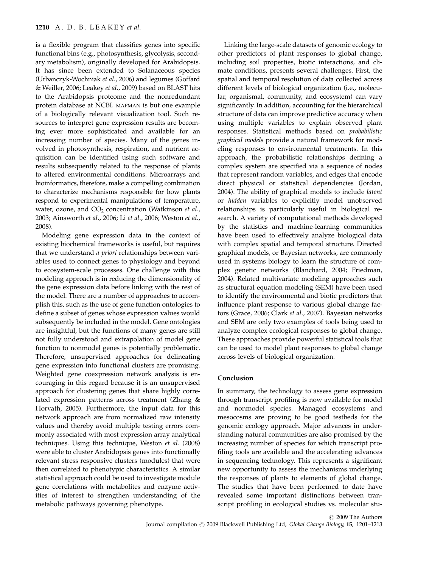is a flexible program that classifies genes into specific functional bins (e.g., photosynthesis, glycolysis, secondary metabolism), originally developed for Arabidopsis. It has since been extended to Solanaceous species (Urbanczyk-Wochniak et al., 2006) and legumes (Goffard & Weiller, 2006; Leakey et al., 2009) based on BLAST hits to the Arabidopsis proteome and the nonredundant protein database at NCBI. MAPMAN is but one example of a biologically relevant visualization tool. Such resources to interpret gene expression results are becoming ever more sophisticated and available for an increasing number of species. Many of the genes involved in photosynthesis, respiration, and nutrient acquisition can be identified using such software and results subsequently related to the response of plants to altered environmental conditions. Microarrays and bioinformatics, therefore, make a compelling combination to characterize mechanisms responsible for how plants respond to experimental manipulations of temperature, water, ozone, and  $CO<sub>2</sub>$  concentration (Watkinson et al., 2003; Ainsworth et al., 2006; Li et al., 2006; Weston et al., 2008).

Modeling gene expression data in the context of existing biochemical frameworks is useful, but requires that we understand a priori relationships between variables used to connect genes to physiology and beyond to ecosystem-scale processes. One challenge with this modeling approach is in reducing the dimensionality of the gene expression data before linking with the rest of the model. There are a number of approaches to accomplish this, such as the use of gene function ontologies to define a subset of genes whose expression values would subsequently be included in the model. Gene ontologies are insightful, but the functions of many genes are still not fully understood and extrapolation of model gene function to nonmodel genes is potentially problematic. Therefore, unsupervised approaches for delineating gene expression into functional clusters are promising. Weighted gene coexpression network analysis is encouraging in this regard because it is an unsupervised approach for clustering genes that share highly correlated expression patterns across treatment (Zhang & Horvath, 2005). Furthermore, the input data for this network approach are from normalized raw intensity values and thereby avoid multiple testing errors commonly associated with most expression array analytical techniques. Using this technique, Weston et al. (2008) were able to cluster Arabidopsis genes into functionally relevant stress responsive clusters (modules) that were then correlated to phenotypic characteristics. A similar statistical approach could be used to investigate module gene correlations with metabolites and enzyme activities of interest to strengthen understanding of the metabolic pathways governing phenotype.

Linking the large-scale datasets of genomic ecology to other predictors of plant responses to global change, including soil properties, biotic interactions, and climate conditions, presents several challenges. First, the spatial and temporal resolution of data collected across different levels of biological organization (i.e., molecular, organismal, community, and ecosystem) can vary significantly. In addition, accounting for the hierarchical structure of data can improve predictive accuracy when using multiple variables to explain observed plant responses. Statistical methods based on probabilistic graphical models provide a natural framework for modeling responses to environmental treatments. In this approach, the probabilistic relationships defining a complex system are specified via a sequence of nodes that represent random variables, and edges that encode direct physical or statistical dependencies (Jordan, 2004). The ability of graphical models to include latent or hidden variables to explicitly model unobserved relationships is particularly useful in biological research. A variety of computational methods developed by the statistics and machine-learning communities have been used to effectively analyze biological data with complex spatial and temporal structure. Directed graphical models, or Bayesian networks, are commonly used in systems biology to learn the structure of complex genetic networks (Blanchard, 2004; Friedman, 2004). Related multivariate modeling approaches such as structural equation modeling (SEM) have been used to identify the environmental and biotic predictors that influence plant response to various global change factors (Grace, 2006; Clark et al., 2007). Bayesian networks and SEM are only two examples of tools being used to analyze complex ecological responses to global change. These approaches provide powerful statistical tools that can be used to model plant responses to global change across levels of biological organization.

#### Conclusion

In summary, the technology to assess gene expression through transcript profiling is now available for model and nonmodel species. Managed ecosystems and mesocosms are proving to be good testbeds for the genomic ecology approach. Major advances in understanding natural communities are also promised by the increasing number of species for which transcript profiling tools are available and the accelerating advances in sequencing technology. This represents a significant new opportunity to assess the mechanisms underlying the responses of plants to elements of global change. The studies that have been performed to date have revealed some important distinctions between transcript profiling in ecological studies vs. molecular stu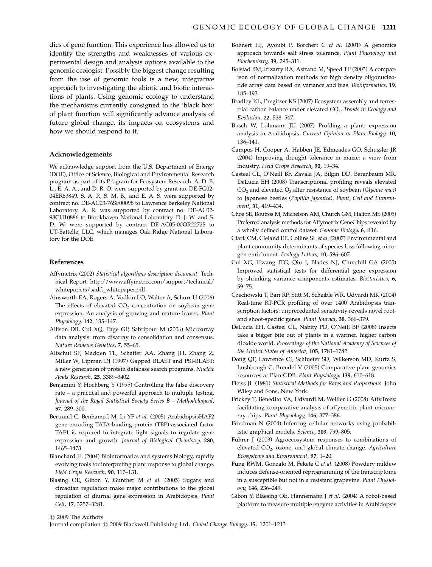dies of gene function. This experience has allowed us to identify the strengths and weaknesses of various experimental design and analysis options available to the genomic ecologist. Possibly the biggest change resulting from the use of genomic tools is a new, integrative approach to investigating the abiotic and biotic interactions of plants. Using genomic ecology to understand the mechanisms currently consigned to the 'black box' of plant function will significantly advance analysis of future global change, its impacts on ecosystems and how we should respond to it.

#### Acknowledgements

We acknowledge support from the U.S. Department of Energy (DOE), Office of Science, Biological and Environmental Research program as part of its Program for Ecosystem Research. A. D. B. L., E. A. A., and D. R. O. were supported by grant no. DE-FG02- 04ER63849. S. A. P., S. M. B., and E. A. S. were supported by contract no. DE-AC03-76SF00098 to Lawrence Berkeley National Laboratory. A. R. was supported by contract no. DE-AC02- 98CH10886 to Brookhaven National Laboratory. D. J. W. and S. D. W. were supported by contract DE-AC05-00OR22725 to UT-Battelle, LLC, which manages Oak Ridge National Laboratory for the DOE.

#### References

- Affymetrix (2002) Statistical algorithms description document. Technical Report. http://www.affymetrix.com/support/technical/ whitepapers/sadd\_whitepaper.pdf.
- Ainsworth EA, Rogers A, Vodkin LO, Walter A, Schurr U (2006) The effects of elevated  $CO<sub>2</sub>$  concentration on soybean gene expression. An analysis of growing and mature leaves. Plant Physiology, 142, 135–147.
- Allison DB, Cui XQ, Page GP, Sabripour M (2006) Microarray data analysis: from disarray to consolidation and consensus. Nature Reviews Genetics, 7, 55–65.
- Altschul SF, Madden TL, Schaffer AA, Zhang JH, Zhang Z, Miller W, Lipman DJ (1997) Gapped BLAST and PSI-BLAST: a new generation of protein database search programs. Nucleic Acids Research, 25, 3389–3402.
- Benjamini Y, Hochberg Y (1995) Controlling the false discovery rate – a practical and powerful approach to multiple testing. Journal of the Royal Statistical Society Series B – Methodological, 57, 289–300.
- Bertrand C, Benhamed M, Li YF et al. (2005) ArabidopsisHAF2 gene encoding TATA-binding protein (TBP)-associated factor TAF1 is required to integrate light signals to regulate gene expression and growth. Journal of Biological Chemistry, 280, 1465–1473.
- Blanchard JL (2004) Bioinformatics and systems biology, rapidly evolving tools for interpreting plant response to global change. Field Crops Research, 90, 117–131.
- Blasing OE, Gibon Y, Gunther M et al. (2005) Sugars and circadian regulation make major contributions to the global regulation of diurnal gene expression in Arabidopsis. Plant Cell, 17, 3257–3281.
- Bohnert HJ, Ayoubi P, Borchert C et al. (2001) A genomics approach towards salt stress tolerance. Plant Physiology and Biochemistry, 39, 295–311.
- Bolstad BM, Irizarry RA, Astrand M, Speed TP (2003) A comparison of normalization methods for high density oligonucleotide array data based on variance and bias. Bioinformatics, 19, 185–193.
- Bradley KL, Pregitzer KS (2007) Ecosystem assembly and terrestrial carbon balance under elevated  $CO<sub>2</sub>$ . Trends in Ecology and Evolution, 22, 538–547.
- Busch W, Lohmann JU (2007) Profiling a plant: expression analysis in Arabidopsis. Current Opinion in Plant Biology, 10, 136–141.
- Campos H, Cooper A, Habben JE, Edmeades GO, Schussler JR (2004) Improving drought tolerance in maize: a view from industry. Field Crops Research, 90, 19–34.
- Casteel CL, O'Neill BF, Zavala JA, Bilgin DD, Berenbaum MR, DeLucia EH (2008) Transcriptional profiling reveals elevated  $CO<sub>2</sub>$  and elevated  $O<sub>3</sub>$  alter resistance of soybean (*Glycine max*) to Japanese beetles (Popillia japonica). Plant, Cell and Environment, 31, 419–434.
- Choe SE, Boutros M, Michelson AM, Church GM, Halfon MS (2005) Preferred analysis methods for Affymetrix GeneChips revealed by a wholly defined control dataset. Genome Biology, 6, R16.
- Clark CM, Cleland EE, Collins SL et al. (2007) Environmental and plant community determinants of species loss following nitrogen enrichment. Ecology Letters, 10, 596–607.
- Cui XG, Hwang JTG, Qiu J, Blades NJ, Churchill GA (2005) Improved statistical tests for differential gene expression by shrinking variance components estimates. Biostatistics, 6, 59–75.
- Czechowski T, Bari RP, Stitt M, Scheible WR, Udvardi MK (2004) Real-time RT-PCR profiling of over 1400 Arabidopsis transcription factors: unprecedented sensitivity reveals novel rootand shoot-specific genes. Plant Journal, 38, 366–379.
- DeLucia EH, Casteel CL, Nabity PD, O'Neill BF (2008) Insects take a bigger bite out of plants in a warmer, higher carbon dioxide world. Proceedings of the National Academy of Sciences of the United States of America, 105, 1781–1782.
- Dong QF, Lawrence CJ, Schlueter SD, Wilkerson MD, Kurtz S, Lushbough C, Brendel V (2005) Comparative plant genomics resources at PlantGDB. Plant Physiology, 139, 610–618.
- Fleiss JL (1981) Statistical Methods for Rates and Proportions. John Wiley and Sons, New York.
- Frickey T, Benedito VA, Udvardi M, Weiller G (2008) AffyTrees: facilitating comparative analysis of affymetrix plant microarray chips. Plant Physiology, 146, 377–386.
- Friedman N (2004) Inferring cellular networks using probabilistic graphical models. Science, 303, 799–805.
- Fuhrer J (2003) Agroecosystem responses to combinations of elevated  $CO<sub>2</sub>$ , ozone, and global climate change. Agriculture Ecosystems and Environment, 97, 1–20.
- Fung RWM, Gonzalo M, Fekete C et al. (2008) Powdery mildew induces defense-oriented reprogramming of the transcriptome in a susceptible but not in a resistant grapevine. Plant Physiology, 146, 236–249.
- Gibon Y, Blaesing OE, Hannemann J et al. (2004) A robot-based platform to measure multiple enzyme activities in Arabidopsis

 $\odot$  2009 The Authors

Journal compilation  $\odot$  2009 Blackwell Publishing Ltd, Global Change Biology, 15, 1201–1213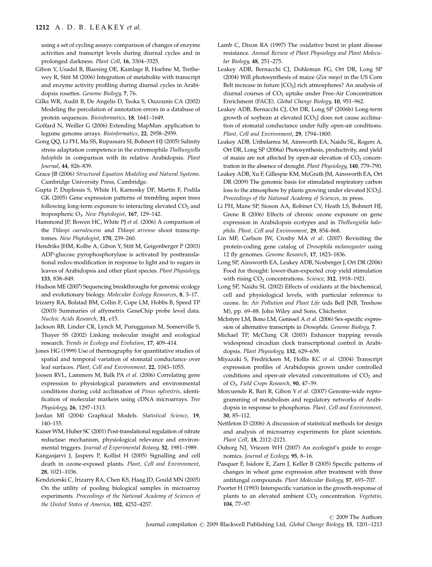using a set of cycling assays: comparison of changes of enzyme activities and transcript levels during diurnal cycles and in prolonged darkness. Plant Cell, 16, 3304–3325.

- Gibon Y, Usadel B, Blaesing OE, Kamlage B, Hoehne M, Trethewey R, Stitt M (2006) Integration of metabolite with transcript and enzyme activity profiling during diurnal cycles in Arabidopsis rosettes. Genome Biology, 7, 76.
- Gilks WR, Audit B, De Angelis D, Tsoka S, Ouzounis CA (2002) Modeling the percolation of annotation errors in a database of protein sequences. Bioinformatics, 18, 1641–1649.
- Goffard N, Weiller G (2006) Extending MapMan: application to legume genome arrays. Bioinformatics, 22, 2958–2959.
- Gong QQ, Li PH, Ma SS, Rupassara SI, Bohnert HJ (2005) Salinity stress adaptation competence in the extremophile Thellungiella halophila in comparison with its relative Arabidopsis. Plant Journal, 44, 826–839.
- Grace JB (2006) Structural Equation Modeling and Natural Systems. Cambridge University Press, Cambridge.
- Gupta P, Duplessis S, White H, Karnosky DF, Martin F, Podila GK (2005) Gene expression patterns of trembling aspen trees following long-term exposure to interacting elevated  $CO<sub>2</sub>$  and tropospheric O<sub>3</sub>. New Phytologist, 167, 129-142.
- Hammond JP, Bowen HC, White PJ et al. (2006) A comparison of the Thlaspi caerulescens and Thlaspi arvense shoot transcriptomes. New Phytologist, 170, 239–260.
- Hendriks JHM, Kolbe A, Gibon Y, Stitt M, Geigenberger P (2003) ADP-glucose pyrophosphorylase is activated by posttranslational redox-modification in response to light and to sugars in leaves of Arabidopsis and other plant species. Plant Physiology, 133, 838–849.
- Hudson ME (2007) Sequencing breakthroughs for genomic ecology and evolutionary biology. Molecular Ecology Resources, 8, 3–17.
- Irizarry RA, Bolstad BM, Collin F, Cope LM, Hobbs B, Speed TP (2003) Summaries of affymetrix GeneChip probe level data. Nucleic Acids Research, 31, e15.
- Jackson RB, Linder CR, Lynch M, Purugganan M, Somerville S, Thayer SS (2002) Linking molecular insight and ecological research. Trends in Ecology and Evolution, 17, 409–414.
- Jones HG (1999) Use of thermography for quantitative studies of spatial and temporal variation of stomatal conductance over leaf surfaces. Plant, Cell and Environment, 22, 1043–1055.
- Joosen RVL, Lammers M, Balk PA et al. (2006) Correlating gene expression to physiological parameters and environmental conditions during cold acclimation of Pinus sylvestris, identification of molecular markers using cDNA microarrays. Tree Physiology, 26, 1297–1313.
- Jordan MI (2004) Graphical Models. Statistical Science, 19, 140–155.
- Kaiser WM, Huber SC (2001) Post-translational regulation of nitrate reductase: mechanism, physiological relevance and environmental triggers. Journal of Experimental Botany, 52, 1981–1989.
- Kangasjarvi J, Jaspers P, Kollist H (2005) Signalling and cell death in ozone-exposed plants. Plant, Cell and Environment, 28, 1021–1036.
- Kendziorski C, Irizarry RA, Chen KS, Haag JD, Gould MN (2005) On the utility of pooling biological samples in microarray experiments. Proceedings of the National Academy of Sciences of the United States of America, 102, 4252–4257.
- Lamb C, Dixon RA (1997) The oxidative burst in plant disease resistance. Annual Review of Plant Physiology and Plant Molecular Biology, 48, 251–275.
- Leakey ADB, Bernacchi CJ, Dohleman FG, Ort DR, Long SP (2004) Will photosynthesis of maize (Zea mays) in the US Corn Belt increase in future  $[CO<sub>2</sub>]$  rich atmospheres? An analysis of diurnal courses of  $CO<sub>2</sub>$  uptake under Free-Air Concentration Enrichment (FACE). Global Change Biology, 10, 951–962.
- Leakey ADB, Bernacchi CJ, Ort DR, Long SP (2006b) Long-term growth of soybean at elevated  $[CO<sub>2</sub>]$  does not cause acclimation of stomatal conductance under fully open-air conditions. Plant, Cell and Environment, 29, 1794–1800.
- Leakey ADB, Uribelarrea M, Ainsworth EA, Naidu SL, Rogers A, Ort DR, Long SP (2006a) Photosynthesis, productivity, and yield of maize are not affected by open-air elevation of  $CO<sub>2</sub>$  concentration in the absence of drought. Plant Physiology, 140, 779–790.
- Leakey ADB, Xu F, Gillespie KM, McGrath JM, Ainsworth EA, Ort DR (2009) The genomic basis for stimulated respiratory carbon loss to the atmosphere by plants growing under elevated  $[CO<sub>2</sub>]$ . Proceedings of the National Academy of Sciences, in press.
- Li PH, Mane SP, Sioson AA, Robinet CV, Heath LS, Bohnert HJ, Grene R (2006) Effects of chronic ozone exposure on gene expression in Arabidopsis ecotypes and in Thellungielia halophila. Plant, Cell and Environment, 29, 854–868.
- Lin MF, Carlson JW, Crosby MA et al. (2007) Revisiting the protein-coding gene catalog of Drosophila melanogaster using 12 fly genomes. Genome Research, 17, 1823–1836.
- Long SP, Ainsworth EA, Leakey ADB, Nosberger J, Ort DR (2006) Food for thought: lower-than-expected crop yield stimulation with rising CO<sub>2</sub> concentrations. Science, 312, 1918-1921.
- Long SP, Naidu SL (2002) Effects of oxidants at the biochemical, cell and physiological levels, with particular reference to ozone. In: Air Pollution and Plant Life (eds Bell JNB, Treshow M), pp. 69–88. John Wiley and Sons, Chichester.
- McIntyre LM, Bono LM, Genissel A et al. (2006) Sex-specific expression of alternative transcripts in Drosophila. Genome Biology, 7.
- Michael TP, McClung CR (2003) Enhancer trapping reveals widespread circadian clock transcriptional control in Arabidopsis. Plant Physiology, 132, 629–639.
- Miyazaki S, Fredricksen M, Hollis KC et al. (2004) Transcript expression profiles of Arabidopsis grown under controlled conditions and open-air elevated concentrations of  $CO<sub>2</sub>$  and of O3. Field Crops Research, 90, 47–59.
- Morcuende R, Bari R, Gibon Y et al. (2007) Genome-wide reprogramming of metabolism and regulatory networks of Arabidopsis in response to phosphorus. Plant, Cell and Environment, 30, 85–112.
- Nettleton D (2006) A discussion of statistical methods for design and analysis of microarray experiments for plant scientists. Plant Cell, 18, 2112–2121.
- Ouborg NJ, Vriezen WH (2007) An ecologist's guide to ecogenomics. Journal of Ecology, 95, 8–16.
- Pasquer F, Isidore E, Zarn J, Keller B (2005) Specific patterns of changes in wheat gene expression after treatment with three antifungal compounds. Plant Molecular Biology, 57, 693–707.
- Poorter H (1993) Interspecific variation in the growth-response of plants to an elevated ambient  $CO<sub>2</sub>$  concentration. Vegetatio, 104, 77–97.